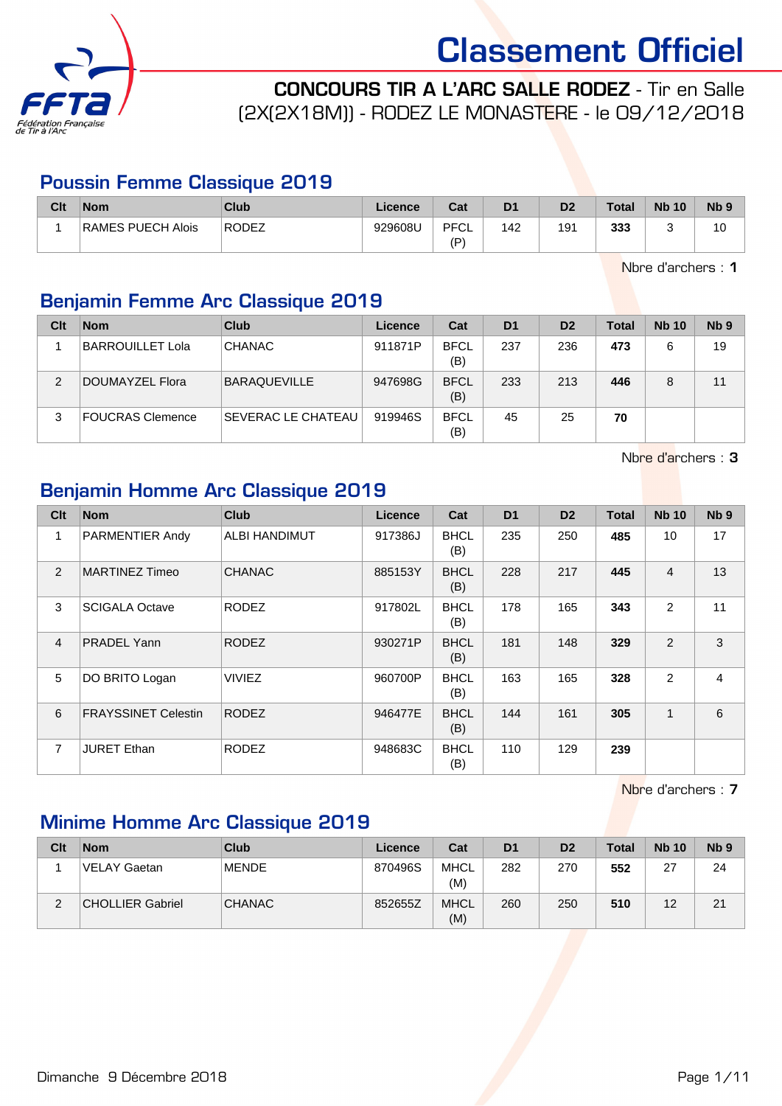

CONCOURS TIR A L'ARC SALLE RODEZ - Tir en Salle (2X(2X18M)) - RODEZ LE MONASTERE - le 09/12/2018

#### Poussin Femme Classique 2019

| Clt | <b>Nom</b>        | <b>Club</b> | Licence | Cat               | D <sub>1</sub> | D <sub>2</sub> | <b>Total</b> | <b>Nb 10</b> | Nb <sub>5</sub> |
|-----|-------------------|-------------|---------|-------------------|----------------|----------------|--------------|--------------|-----------------|
|     | RAMES PUECH Alois | RODEZ       | 929608U | <b>PFCL</b><br>(D | 142            | 191            | 333          |              | 10              |

Nbre d'archers : 1

### Benjamin Femme Arc Classique 2019

| Clt | <b>Nom</b>       | Club                      | Licence | Cat                | D <sub>1</sub> | D <sub>2</sub> | <b>Total</b> | <b>Nb 10</b> | N <sub>b</sub> <sub>9</sub> |
|-----|------------------|---------------------------|---------|--------------------|----------------|----------------|--------------|--------------|-----------------------------|
|     | BARROUILLET Lola | <b>CHANAC</b>             | 911871P | <b>BFCL</b><br>(B) | 237            | 236            | 473          | 6            | 19                          |
| 2   | DOUMAYZEL Flora  | <b>BARAQUEVILLE</b>       | 947698G | <b>BFCL</b><br>(B) | 233            | 213            | 446          | 8            | 11                          |
| 3   | FOUCRAS Clemence | <b>SEVERAC LE CHATEAU</b> | 919946S | <b>BFCL</b><br>(B) | 45             | 25             | 70           |              |                             |

Nbre d'archers : 3

#### Benjamin Homme Arc Classique 2019

| Clt            | <b>Nom</b>                 | <b>Club</b>          | Licence | Cat                | D <sub>1</sub> | D <sub>2</sub> | <b>Total</b> | <b>Nb 10</b>    | Nb <sub>9</sub> |
|----------------|----------------------------|----------------------|---------|--------------------|----------------|----------------|--------------|-----------------|-----------------|
| 1              | <b>PARMENTIER Andy</b>     | <b>ALBI HANDIMUT</b> | 917386J | <b>BHCL</b><br>(B) | 235            | 250            | 485          | 10 <sup>1</sup> | 17              |
| $\overline{2}$ | <b>MARTINEZ Timeo</b>      | <b>CHANAC</b>        | 885153Y | <b>BHCL</b><br>(B) | 228            | 217            | 445          | 4               | 13              |
| 3              | <b>SCIGALA Octave</b>      | <b>RODEZ</b>         | 917802L | <b>BHCL</b><br>(B) | 178            | 165            | 343          | $\overline{2}$  | 11              |
| $\overline{4}$ | <b>PRADEL Yann</b>         | <b>RODEZ</b>         | 930271P | <b>BHCL</b><br>(B) | 181            | 148            | 329          | 2               | 3               |
| 5              | DO BRITO Logan             | <b>VIVIEZ</b>        | 960700P | <b>BHCL</b><br>(B) | 163            | 165            | 328          | 2               | $\overline{4}$  |
| 6              | <b>FRAYSSINET Celestin</b> | <b>RODEZ</b>         | 946477E | <b>BHCL</b><br>(B) | 144            | 161            | 305          | 1               | 6               |
| $\overline{7}$ | <b>JURET Ethan</b>         | <b>RODEZ</b>         | 948683C | <b>BHCL</b><br>(B) | 110            | 129            | 239          |                 |                 |

Nbre d'archers : 7

### Minime Homme Arc Classique 2019

| Clt | <b>Nom</b>       | Club          | Licence | Cat                | D <sub>1</sub> | D <sub>2</sub> | <b>Total</b> | <b>Nb 10</b> | Nb <sub>9</sub> |
|-----|------------------|---------------|---------|--------------------|----------------|----------------|--------------|--------------|-----------------|
|     | ⊺VELAY Gaetan    | <b>MENDE</b>  | 870496S | <b>MHCL</b><br>(M) | 282            | 270            | 552          | 27           | 24              |
| c   | CHOLLIER Gabriel | <b>CHANAC</b> | 852655Z | <b>MHCL</b><br>(M) | 260            | 250            | 510          | 12           | 21              |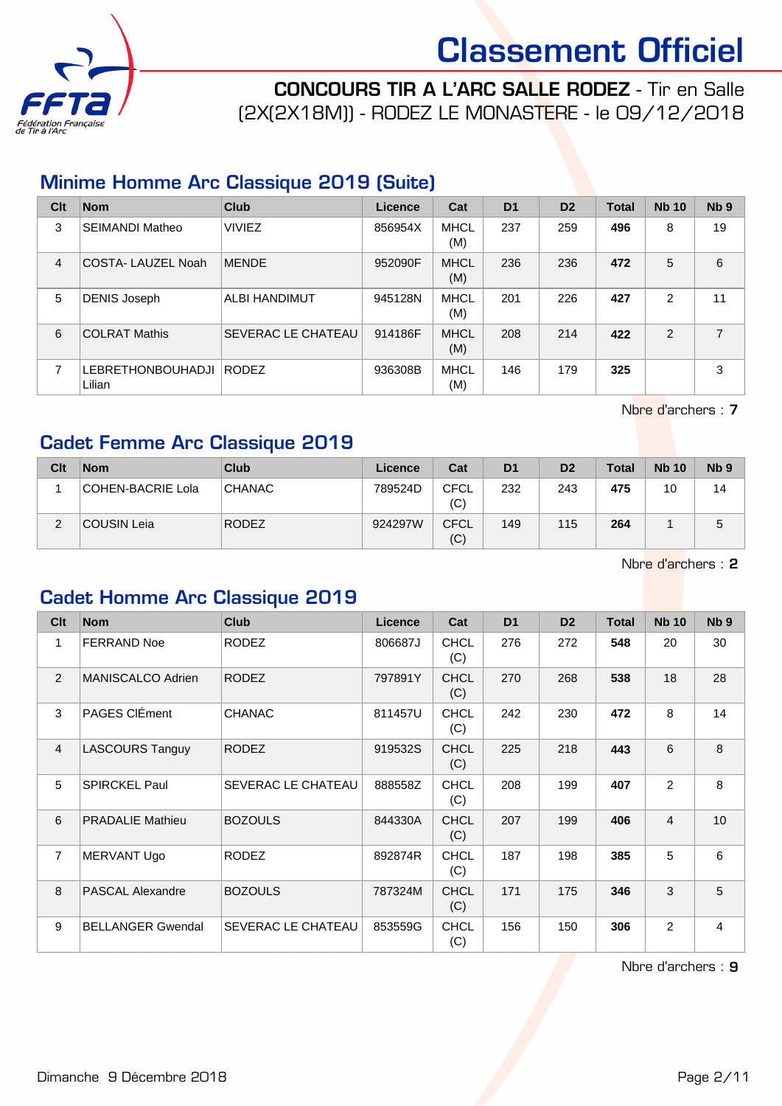

CONCOURS TIR A L'ARC SALLE RODEZ - Tir en Salle (2X(2X18M)) - RODEZ LE MONASTERE - le 09/12/2018

#### Minime Homme Arc Classique 2019 (Suite)

| Clt            | <b>Nom</b>                         | Club                      | Licence | Cat                | D <sub>1</sub> | D <sub>2</sub> | <b>Total</b> | <b>Nb 10</b>  | Nb <sub>9</sub> |
|----------------|------------------------------------|---------------------------|---------|--------------------|----------------|----------------|--------------|---------------|-----------------|
| 3              | <b>SEIMANDI Matheo</b>             | <b>VIVIEZ</b>             | 856954X | <b>MHCL</b><br>(M) | 237            | 259            | 496          | 8             | 19              |
| $\overline{4}$ | COSTA-LAUZEL Noah                  | <b>MENDE</b>              | 952090F | <b>MHCL</b><br>(M) | 236            | 236            | 472          | 5             | 6               |
| 5              | <b>DENIS Joseph</b>                | ALBI HANDIMUT             | 945128N | <b>MHCL</b><br>(M) | 201            | 226            | 427          | 2             | 11              |
| 6              | <b>COLRAT Mathis</b>               | <b>SEVERAC LE CHATEAU</b> | 914186F | <b>MHCL</b><br>(M) | 208            | 214            | 422          | $\mathcal{P}$ | 7               |
| $\overline{7}$ | <b>LEBRETHONBOUHADJI</b><br>Lilian | RODEZ                     | 936308B | MHCL<br>(M)        | 146            | 179            | 325          |               | 3               |

Nbre d'archers : 7

### Cadet Femme Arc Classique 2019

| Clt | <b>Nom</b>        | Club          | Licence | Cat                | D <sub>1</sub> | D <sub>2</sub> | <b>Total</b> | <b>Nb 10</b> | Nb <sub>9</sub> |
|-----|-------------------|---------------|---------|--------------------|----------------|----------------|--------------|--------------|-----------------|
|     | COHEN-BACRIE Lola | <b>CHANAC</b> | 789524D | <b>CFCL</b><br>(C) | 232            | 243            | 475          | 10           | 14              |
| ◠   | COUSIN Leia       | <b>RODEZ</b>  | 924297W | <b>CFCL</b><br>(C) | 149            | 115            | 264          |              | 5               |

Nbre d'archers : 2

#### Cadet Homme Arc Classique 2019

| Clt            | <b>Nom</b>               | <b>Club</b>        | <b>Licence</b> | Cat                | D <sub>1</sub> | D <sub>2</sub> | <b>Total</b> | <b>Nb 10</b>   | Nb <sub>9</sub> |
|----------------|--------------------------|--------------------|----------------|--------------------|----------------|----------------|--------------|----------------|-----------------|
| 1              | <b>FERRAND Noe</b>       | <b>RODEZ</b>       | 806687J        | <b>CHCL</b><br>(C) | 276            | 272            | 548          | 20             | 30              |
| $\overline{2}$ | MANISCALCO Adrien        | <b>RODEZ</b>       | 797891Y        | <b>CHCL</b><br>(C) | 270            | 268            | 538          | 18             | 28              |
| 3              | PAGES CIÉment            | <b>CHANAC</b>      | 811457U        | <b>CHCL</b><br>(C) | 242            | 230            | 472          | 8              | 14              |
| $\overline{4}$ | <b>LASCOURS Tanguy</b>   | <b>RODEZ</b>       | 919532S        | <b>CHCL</b><br>(C) | 225            | 218            | 443          | 6              | 8               |
| 5              | <b>SPIRCKEL Paul</b>     | SEVERAC LE CHATEAU | 888558Z        | <b>CHCL</b><br>(C) | 208            | 199            | 407          | $\overline{2}$ | 8               |
| 6              | <b>PRADALIE Mathieu</b>  | <b>BOZOULS</b>     | 844330A        | <b>CHCL</b><br>(C) | 207            | 199            | 406          | $\overline{4}$ | 10              |
| $\overline{7}$ | MERVANT Ugo              | <b>RODEZ</b>       | 892874R        | <b>CHCL</b><br>(C) | 187            | 198            | 385          | 5              | 6               |
| 8              | <b>PASCAL Alexandre</b>  | <b>BOZOULS</b>     | 787324M        | <b>CHCL</b><br>(C) | 171            | 175            | 346          | 3              | 5               |
| 9              | <b>BELLANGER Gwendal</b> | SEVERAC LE CHATEAU | 853559G        | <b>CHCL</b><br>(C) | 156            | 150            | 306          | $\overline{2}$ | $\overline{4}$  |

Nbre d'archers : 9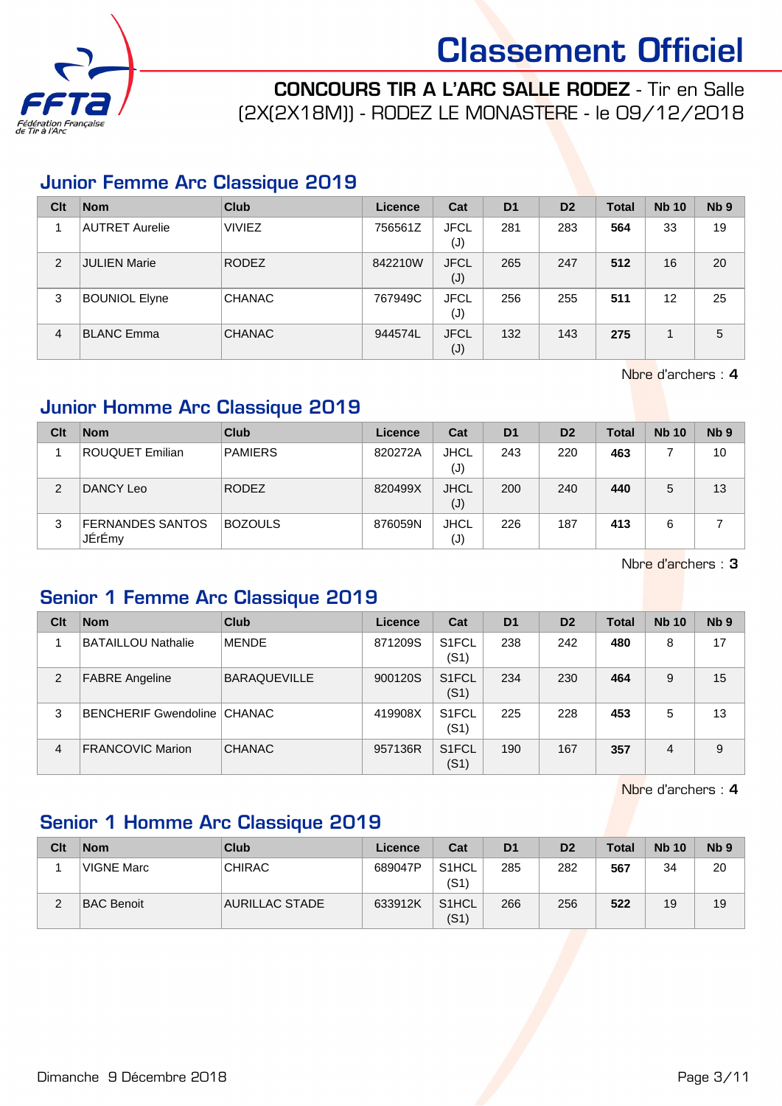

CONCOURS TIR A L'ARC SALLE RODEZ - Tir en Salle (2X(2X18M)) - RODEZ LE MONASTERE - le 09/12/2018

#### Junior Femme Arc Classique 2019

| Clt            | <b>Nom</b>           | <b>Club</b>   | Licence | Cat                           | D <sub>1</sub> | D <sub>2</sub> | <b>Total</b> | <b>Nb 10</b> | Nb <sub>9</sub> |
|----------------|----------------------|---------------|---------|-------------------------------|----------------|----------------|--------------|--------------|-----------------|
|                | AUTRET Aurelie       | <b>VIVIEZ</b> | 756561Z | <b>JFCL</b><br>(J)            | 281            | 283            | 564          | 33           | 19              |
| $\overline{2}$ | <b>JULIEN Marie</b>  | <b>RODEZ</b>  | 842210W | <b>JFCL</b><br>$(\mathsf{J})$ | 265            | 247            | 512          | 16           | 20              |
| 3              | <b>BOUNIOL Elyne</b> | <b>CHANAC</b> | 767949C | <b>JFCL</b><br>(J)            | 256            | 255            | 511          | 12           | 25              |
| 4              | <b>BLANC Emma</b>    | <b>CHANAC</b> | 944574L | <b>JFCL</b><br>(J)            | 132            | 143            | 275          |              | 5               |

Nbre d'archers : 4

#### Junior Homme Arc Classique 2019

| Clt | <b>Nom</b>                        | Club           | Licence | Cat                | D <sub>1</sub> | D <sub>2</sub> | <b>Total</b> | <b>Nb 10</b> | Nb <sub>9</sub> |
|-----|-----------------------------------|----------------|---------|--------------------|----------------|----------------|--------------|--------------|-----------------|
|     | <b>ROUQUET Emilian</b>            | <b>PAMIERS</b> | 820272A | <b>JHCL</b><br>(J) | 243            | 220            | 463          |              | 10              |
| 2   | DANCY Leo                         | <b>RODEZ</b>   | 820499X | <b>JHCL</b><br>(J) | 200            | 240            | 440          | 5            | 13              |
| 3   | <b>FERNANDES SANTOS</b><br>JÉrÉmy | <b>BOZOULS</b> | 876059N | <b>JHCL</b><br>(J) | 226            | 187            | 413          | 6            |                 |

Nbre d'archers : 3

#### Senior 1 Femme Arc Classique 2019

| Clt            | <b>Nom</b>                  | Club                | Licence | Cat                        | D <sub>1</sub> | D <sub>2</sub> | <b>Total</b> | <b>Nb 10</b> | Nb <sub>9</sub> |
|----------------|-----------------------------|---------------------|---------|----------------------------|----------------|----------------|--------------|--------------|-----------------|
|                | <b>BATAILLOU Nathalie</b>   | <b>MENDE</b>        | 871209S | S <sub>1</sub> FCL<br>(S1) | 238            | 242            | 480          | 8            | 17              |
| $\overline{2}$ | <b>FABRE</b> Angeline       | <b>BARAQUEVILLE</b> | 900120S | S <sub>1</sub> FCL<br>(S1) | 234            | 230            | 464          | 9            | 15              |
| 3              | BENCHERIF Gwendoline CHANAC |                     | 419908X | S1FCL<br>(S1)              | 225            | 228            | 453          | 5            | 13              |
| 4              | <b>FRANCOVIC Marion</b>     | <b>CHANAC</b>       | 957136R | S <sub>1</sub> FCL<br>(S1) | 190            | 167            | 357          | 4            | 9               |

Nbre d'archers : 4

### Senior 1 Homme Arc Classique 2019

| Clt | <b>Nom</b>        | Club           | Licence | Cat                        | D <sub>1</sub> | D <sub>2</sub> | <b>Total</b> | <b>Nb 10</b> | N <sub>b</sub> <sub>9</sub> |
|-----|-------------------|----------------|---------|----------------------------|----------------|----------------|--------------|--------------|-----------------------------|
|     | VIGNE Marc        | <b>CHIRAC</b>  | 689047P | S <sub>1</sub> HCL<br>(S1) | 285            | 282            | 567          | 34           | 20                          |
| ⌒   | <b>BAC Benoit</b> | AURILLAC STADE | 633912K | S1HCL<br>(S1)              | 266            | 256            | 522          | 19           | 19                          |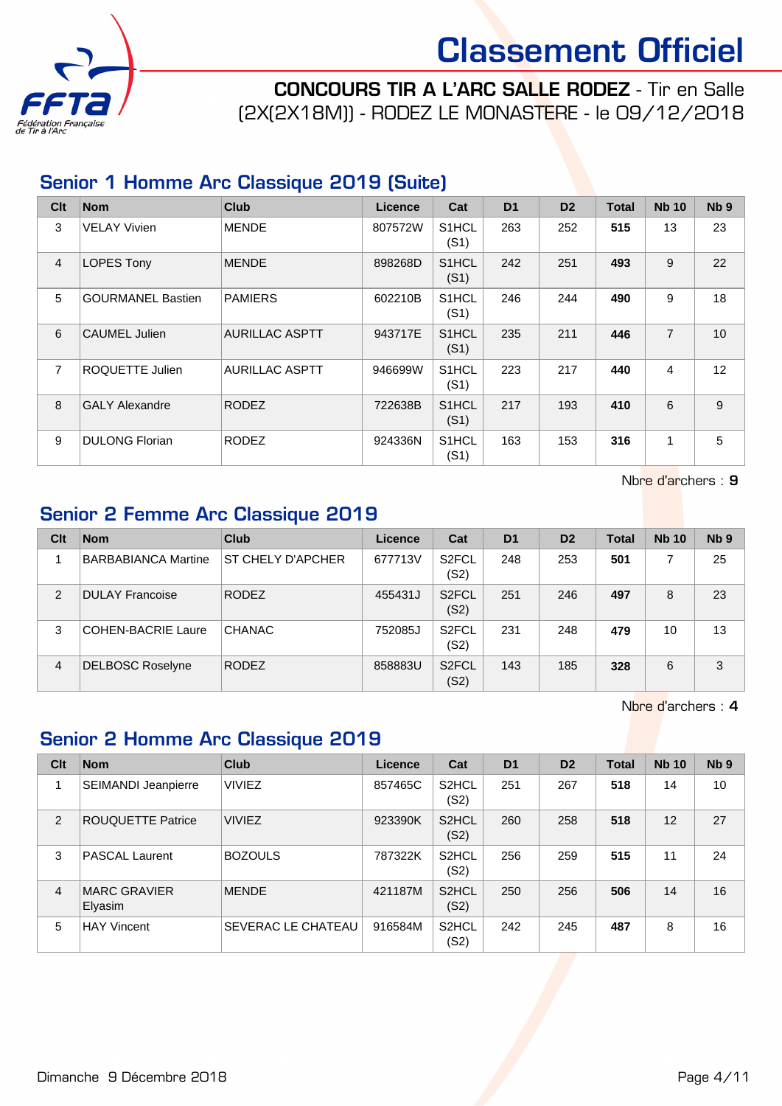

CONCOURS TIR A L'ARC SALLE RODEZ - Tir en Salle (2X(2X18M)) - RODEZ LE MONASTERE - le 09/12/2018

#### Senior 1 Homme Arc Classique 2019 (Suite)

| Clt            | <b>Nom</b>               | <b>Club</b>           | Licence | Cat                        | D <sub>1</sub> | D <sub>2</sub> | <b>Total</b> | <b>Nb 10</b>   | N <sub>b</sub> <sub>9</sub> |
|----------------|--------------------------|-----------------------|---------|----------------------------|----------------|----------------|--------------|----------------|-----------------------------|
| 3              | <b>VELAY Vivien</b>      | <b>MENDE</b>          | 807572W | S <sub>1</sub> HCL<br>(S1) | 263            | 252            | 515          | 13             | 23                          |
| $\overline{4}$ | <b>LOPES Tony</b>        | <b>MENDE</b>          | 898268D | S <sub>1</sub> HCL<br>(S1) | 242            | 251            | 493          | 9              | 22                          |
| 5              | <b>GOURMANEL Bastien</b> | <b>PAMIERS</b>        | 602210B | S <sub>1</sub> HCL<br>(S1) | 246            | 244            | 490          | 9              | 18                          |
| 6              | CAUMEL Julien            | <b>AURILLAC ASPTT</b> | 943717E | S <sub>1</sub> HCL<br>(S1) | 235            | 211            | 446          | $\overline{7}$ | 10                          |
| $\overline{7}$ | ROQUETTE Julien          | <b>AURILLAC ASPTT</b> | 946699W | S <sub>1</sub> HCL<br>(S1) | 223            | 217            | 440          | 4              | 12                          |
| $\mathbf{8}$   | <b>GALY Alexandre</b>    | <b>RODEZ</b>          | 722638B | S <sub>1</sub> HCL<br>(S1) | 217            | 193            | 410          | 6              | 9                           |
| 9              | <b>DULONG Florian</b>    | RODEZ                 | 924336N | S <sub>1</sub> HCL<br>(S1) | 163            | 153            | 316          | 1              | 5                           |

Nbre d'archers : 9

#### Senior 2 Femme Arc Classique 2019

| Clt            | <b>Nom</b>                 | Club              | Licence | Cat                        | D <sub>1</sub> | D <sub>2</sub> | <b>Total</b> | <b>Nb 10</b> | N <sub>b</sub> <sub>9</sub> |
|----------------|----------------------------|-------------------|---------|----------------------------|----------------|----------------|--------------|--------------|-----------------------------|
|                | <b>BARBABIANCA Martine</b> | ST CHELY D'APCHER | 677713V | S <sub>2</sub> FCL<br>(S2) | 248            | 253            | 501          |              | 25                          |
| $\overline{2}$ | <b>DULAY Francoise</b>     | <b>RODEZ</b>      | 455431J | S <sub>2</sub> FCL<br>(S2) | 251            | 246            | 497          | 8            | 23                          |
| 3              | COHEN-BACRIE Laure         | <b>CHANAC</b>     | 752085J | S <sub>2</sub> FCL<br>(S2) | 231            | 248            | 479          | 10           | 13                          |
| 4              | <b>DELBOSC Roselyne</b>    | <b>RODEZ</b>      | 858883U | S <sub>2</sub> FCL<br>(S2) | 143            | 185            | 328          | 6            | 3                           |

Nbre d'archers : 4

#### Senior 2 Homme Arc Classique 2019

| Clt            | <b>Nom</b>                     | Club                      | Licence | Cat                        | D <sub>1</sub> | D <sub>2</sub> | <b>Total</b> | <b>Nb 10</b> | N <sub>b</sub> <sub>9</sub> |
|----------------|--------------------------------|---------------------------|---------|----------------------------|----------------|----------------|--------------|--------------|-----------------------------|
|                | <b>SEIMANDI Jeanpierre</b>     | <b>VIVIEZ</b>             | 857465C | S <sub>2</sub> HCL<br>(S2) | 251            | 267            | 518          | 14           | 10                          |
| 2              | <b>ROUQUETTE Patrice</b>       | <b>VIVIEZ</b>             | 923390K | S <sub>2</sub> HCL<br>(S2) | 260            | 258            | 518          | 12           | 27                          |
| 3              | PASCAL Laurent                 | <b>BOZOULS</b>            | 787322K | S <sub>2</sub> HCL<br>(S2) | 256            | 259            | 515          | 11           | 24                          |
| $\overline{4}$ | <b>MARC GRAVIER</b><br>Elyasim | <b>MENDE</b>              | 421187M | S <sub>2</sub> HCL<br>(S2) | 250            | 256            | 506          | 14           | 16                          |
| 5              | <b>HAY Vincent</b>             | <b>SEVERAC LE CHATEAU</b> | 916584M | S <sub>2</sub> HCL<br>(S2) | 242            | 245            | 487          | 8            | 16                          |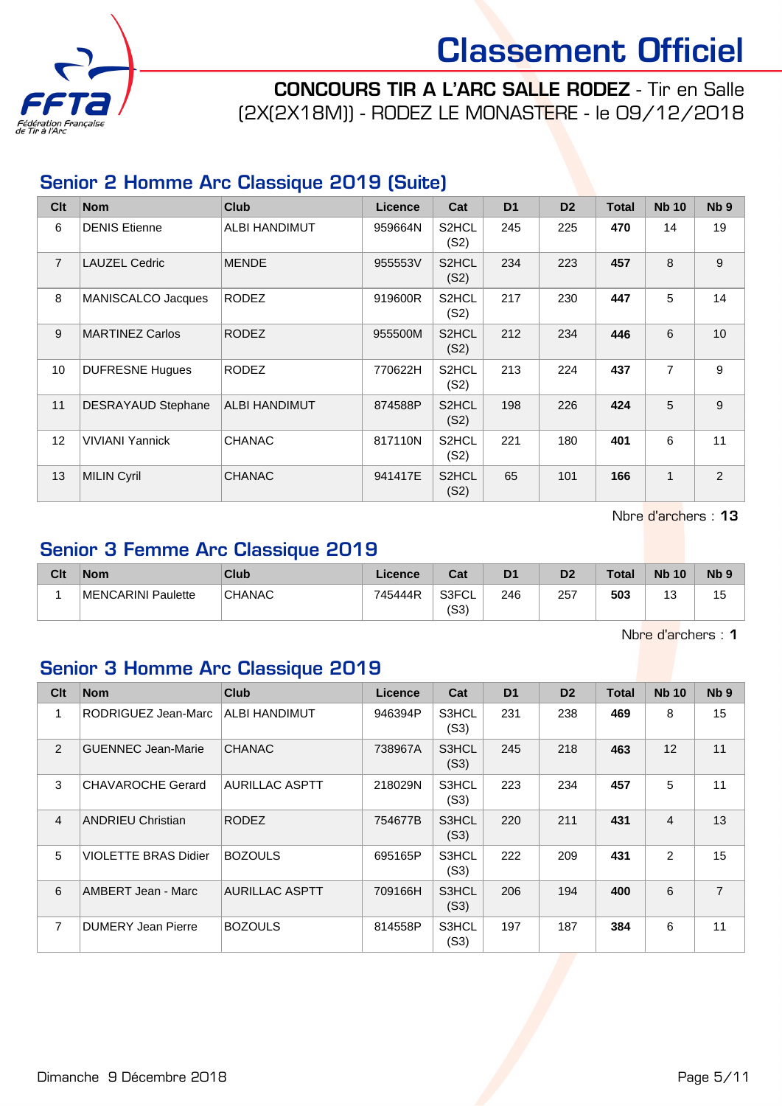

CONCOURS TIR A L'ARC SALLE RODEZ - Tir en Salle (2X(2X18M)) - RODEZ LE MONASTERE - le 09/12/2018

#### Senior 2 Homme Arc Classique 2019 (Suite)

| Clt            | <b>Nom</b>                | Club          | <b>Licence</b> | Cat                        | D <sub>1</sub> | D <sub>2</sub> | <b>Total</b> | <b>Nb 10</b>   | N <sub>b</sub> <sub>9</sub> |
|----------------|---------------------------|---------------|----------------|----------------------------|----------------|----------------|--------------|----------------|-----------------------------|
| 6              | <b>DENIS Etienne</b>      | ALBI HANDIMUT | 959664N        | S2HCL<br>(S2)              | 245            | 225            | 470          | 14             | 19                          |
| $\overline{7}$ | <b>LAUZEL Cedric</b>      | <b>MENDE</b>  | 955553V        | S2HCL<br>(S2)              | 234            | 223            | 457          | 8              | 9                           |
| 8              | MANISCALCO Jacques        | <b>RODEZ</b>  | 919600R        | S2HCL<br>(S2)              | 217            | 230            | 447          | 5              | 14                          |
| 9              | <b>MARTINEZ Carlos</b>    | <b>RODEZ</b>  | 955500M        | S <sub>2</sub> HCL<br>(S2) | 212            | 234            | 446          | 6              | 10                          |
| 10             | <b>DUFRESNE Hugues</b>    | <b>RODEZ</b>  | 770622H        | S2HCL<br>(S2)              | 213            | 224            | 437          | $\overline{7}$ | 9                           |
| 11             | <b>DESRAYAUD Stephane</b> | ALBI HANDIMUT | 874588P        | S2HCL<br>(S2)              | 198            | 226            | 424          | 5              | 9                           |
| 12             | <b>VIVIANI Yannick</b>    | <b>CHANAC</b> | 817110N        | S2HCL<br>(S2)              | 221            | 180            | 401          | 6              | 11                          |
| 13             | <b>MILIN Cyril</b>        | <b>CHANAC</b> | 941417E        | S2HCL<br>(S2)              | 65             | 101            | 166          | $\mathbf{1}$   | 2                           |

Nbre d'archers : 13

#### Senior 3 Femme Arc Classique 2019

| Clt | <b>Nom</b>         | Club          | ∟icence | Cat           | D <sub>1</sub> | D <sub>2</sub> | <b>Total</b> | <b>Nb 10</b> | N <sub>b</sub> <sub>9</sub> |
|-----|--------------------|---------------|---------|---------------|----------------|----------------|--------------|--------------|-----------------------------|
|     | MENCARINI Paulette | <b>CHANAC</b> | 745444R | S3FCL<br>(S3) | 246            | 257            | 503          | ں            | ט ו                         |

Nbre d'archers : 1

#### Senior 3 Homme Arc Classique 2019

| Clt            | <b>Nom</b>                  | <b>Club</b>           | <b>Licence</b> | Cat           | D <sub>1</sub> | D <sub>2</sub> | Total | <b>Nb 10</b>   | Nb <sub>9</sub> |
|----------------|-----------------------------|-----------------------|----------------|---------------|----------------|----------------|-------|----------------|-----------------|
| 1              | RODRIGUEZ Jean-Marc         | ALBI HANDIMUT         | 946394P        | S3HCL<br>(S3) | 231            | 238            | 469   | 8              | 15              |
| 2              | <b>GUENNEC Jean-Marie</b>   | <b>CHANAC</b>         | 738967A        | S3HCL<br>(S3) | 245            | 218            | 463   | 12             | 11              |
| 3              | CHAVAROCHE Gerard           | <b>AURILLAC ASPTT</b> | 218029N        | S3HCL<br>(S3) | 223            | 234            | 457   | 5              | 11              |
| $\overline{4}$ | <b>ANDRIEU Christian</b>    | <b>RODEZ</b>          | 754677B        | S3HCL<br>(S3) | 220            | 211            | 431   | $\overline{4}$ | 13              |
| 5              | <b>VIOLETTE BRAS Didier</b> | <b>BOZOULS</b>        | 695165P        | S3HCL<br>(S3) | 222            | 209            | 431   | 2              | 15              |
| 6              | AMBERT Jean - Marc          | <b>AURILLAC ASPTT</b> | 709166H        | S3HCL<br>(S3) | 206            | 194            | 400   | 6              | $\overline{7}$  |
| $\overline{7}$ | DUMERY Jean Pierre          | <b>BOZOULS</b>        | 814558P        | S3HCL<br>(S3) | 197            | 187            | 384   | 6              | 11              |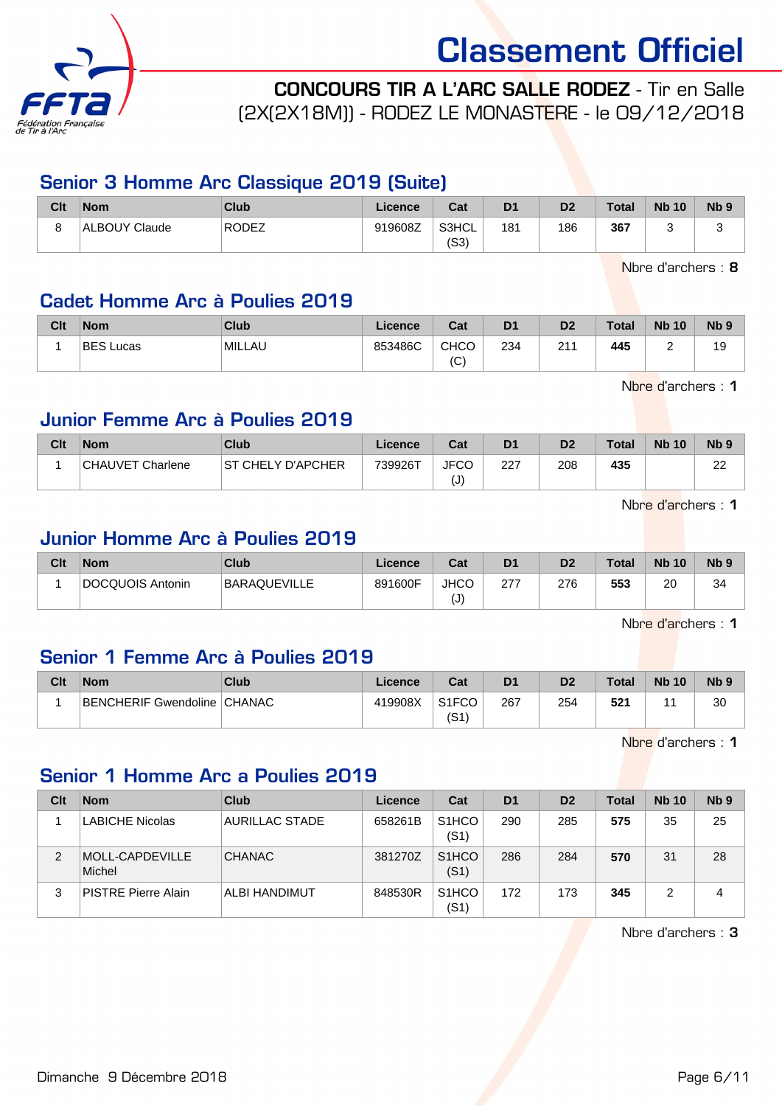

CONCOURS TIR A L'ARC SALLE RODEZ - Tir en Salle (2X(2X18M)) - RODEZ LE MONASTERE - le 09/12/2018

#### Senior 3 Homme Arc Classique 2019 (Suite)

| Clt | <b>Nom</b>    | Club               | Licence | Cat           | D <sub>1</sub> | D <sub>2</sub> | <b>Total</b> | <b>Nb 10</b> | N <sub>b</sub> <sub>9</sub> |
|-----|---------------|--------------------|---------|---------------|----------------|----------------|--------------|--------------|-----------------------------|
|     | ALBOUY Claude | RODEZ <sup>1</sup> | 919608Z | S3HCL<br>(S3) | 181            | 186            | 367          |              | s.                          |

Nbre d'archers : 8

#### Cadet Homme Arc à Poulies 2019

| Clt | <b>Nom</b>       | Club   | Licence | Cat                        | D <sub>1</sub> | D <sub>2</sub> | <b>Total</b> | <b>Nb 10</b> | Nb <sub>5</sub> |
|-----|------------------|--------|---------|----------------------------|----------------|----------------|--------------|--------------|-----------------|
|     | <b>BES Lucas</b> | MILLAU | 853486C | <b>CHCO</b><br>$\sim$<br>◡ | 234            | 211            | 445          |              | 19              |

Nbre d'archers : 1

#### Junior Femme Arc à Poulies 2019

| Clt | <b>Nom</b>       | Club               | Licence | Cat                | D <sub>1</sub> | D <sub>2</sub> | Total | <b>Nb 10</b> | N <sub>b</sub> <sub>9</sub> |
|-----|------------------|--------------------|---------|--------------------|----------------|----------------|-------|--------------|-----------------------------|
|     | CHAUVET Charlene | IST CHELY D'APCHER | 739926T | <b>JFCC</b><br>(J) | 227            | 208            | 435   |              | nn<br>$\epsilon$            |

Nbre d'archers : 1

#### Junior Homme Arc à Poulies 2019

| Clt | <b>Nom</b>       | Club                | Licence | Cat              | D <sub>1</sub> | D <sub>2</sub> | <b>Total</b> | <b>Nb 10</b> | <b>N<sub>b</sub></b> |
|-----|------------------|---------------------|---------|------------------|----------------|----------------|--------------|--------------|----------------------|
|     | DOCQUOIS Antonin | <b>BARAQUEVILLE</b> | 891600F | <b>JHCC</b><br>U | 277<br>21      | 276            | 553          | 20           | 34                   |

Nbre d'archers : 1

#### Senior 1 Femme Arc à Poulies 2019

| Clt | <b>Nom</b>                    | Club | $\mathsf{\mathsf{Licence}}$ | Cat                        | D <sub>1</sub> | D <sub>2</sub> | <b>Total</b> | <b>Nb 10</b> | <b>N<sub>b</sub></b> |
|-----|-------------------------------|------|-----------------------------|----------------------------|----------------|----------------|--------------|--------------|----------------------|
|     | BENCHERIF Gwendoline   CHANAC |      | 419908X                     | S <sub>1</sub> FCO<br>(S1) | 267            | 254            | 521          |              | 30                   |

Nbre d'archers : 1

### Senior 1 Homme Arc a Poulies 2019

| Clt | <b>Nom</b>                 | Club           | Licence | Cat                        | D <sub>1</sub> | D <sub>2</sub> | <b>Total</b> | <b>Nb 10</b> | N <sub>b</sub> <sub>9</sub> |
|-----|----------------------------|----------------|---------|----------------------------|----------------|----------------|--------------|--------------|-----------------------------|
|     | <b>LABICHE Nicolas</b>     | AURILLAC STADE | 658261B | S <sub>1</sub> HCO<br>(S1) | 290            | 285            | 575          | 35           | 25                          |
| 2   | MOLL-CAPDEVILLE<br>Michel  | <b>CHANAC</b>  | 381270Z | S <sub>1</sub> HCO<br>(S1) | 286            | 284            | 570          | 31           | 28                          |
| 3   | <b>PISTRE Pierre Alain</b> | ALBI HANDIMUT  | 848530R | S <sub>1</sub> HCO<br>(S1) | 172            | 173            | 345          |              | 4                           |

Nbre d'archers : 3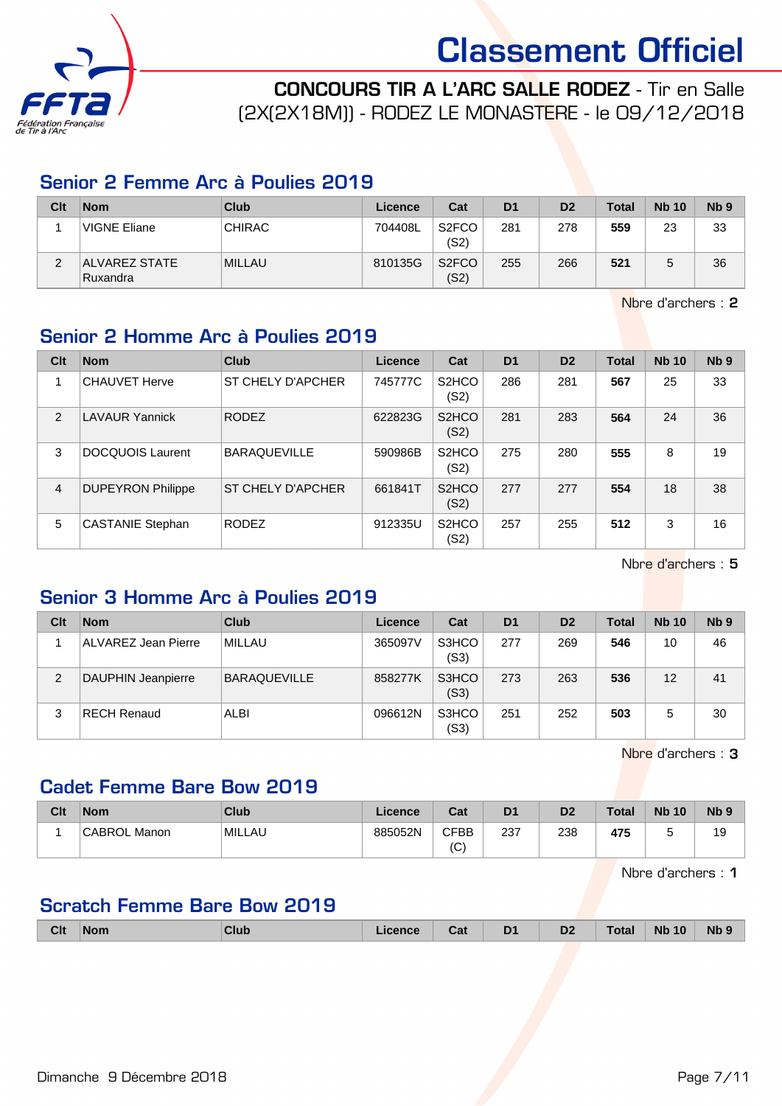

CONCOURS TIR A L'ARC SALLE RODEZ - Tir en Salle (2X(2X18M)) - RODEZ LE MONASTERE - le 09/12/2018

#### Senior 2 Femme Arc à Poulies 2019

| Clt    | <b>Nom</b>                | Club          | Licence | Cat                        | D <sub>1</sub> | D <sub>2</sub> | <b>Total</b> | <b>Nb 10</b> | N <sub>b</sub> <sub>9</sub> |
|--------|---------------------------|---------------|---------|----------------------------|----------------|----------------|--------------|--------------|-----------------------------|
|        | VIGNE Eliane              | <b>CHIRAC</b> | 704408L | S <sub>2</sub> FCO<br>(S2) | 281            | 278            | 559          | 23           | 33                          |
| ◠<br>ے | ALVAREZ STATE<br>Ruxandra | <b>MILLAU</b> | 810135G | S <sub>2</sub> FCO<br>(S2) | 255            | 266            | 521          |              | 36                          |

Nbre d'archers : 2

### Senior 2 Homme Arc à Poulies 2019

| Clt            | <b>Nom</b>               | <b>Club</b>         | <b>Licence</b> | Cat                        | D <sub>1</sub> | D <sub>2</sub> | <b>Total</b> | <b>Nb 10</b> | Nb <sub>9</sub> |
|----------------|--------------------------|---------------------|----------------|----------------------------|----------------|----------------|--------------|--------------|-----------------|
| 1              | <b>CHAUVET Herve</b>     | ST CHELY D'APCHER   | 745777C        | S <sub>2</sub> HCO<br>(S2) | 286            | 281            | 567          | 25           | 33              |
| 2              | <b>LAVAUR Yannick</b>    | <b>RODEZ</b>        | 622823G        | S <sub>2</sub> HCO<br>(S2) | 281            | 283            | 564          | 24           | 36              |
| 3              | <b>DOCQUOIS Laurent</b>  | <b>BARAQUEVILLE</b> | 590986B        | S <sub>2</sub> HCO<br>(S2) | 275            | 280            | 555          | 8            | 19              |
| $\overline{4}$ | <b>DUPEYRON Philippe</b> | ST CHELY D'APCHER   | 661841T        | S <sub>2</sub> HCO<br>(S2) | 277            | 277            | 554          | 18           | 38              |
| 5              | <b>CASTANIE Stephan</b>  | <b>RODEZ</b>        | 912335U        | S <sub>2</sub> HCO<br>(S2) | 257            | 255            | 512          | 3            | 16              |

Nbre d'archers : 5

#### Senior 3 Homme Arc à Poulies 2019

| Clt | <b>Nom</b>          | Club                | Licence | Cat           | D <sub>1</sub> | D <sub>2</sub> | Total | <b>Nb 10</b> | Nb <sub>9</sub> |
|-----|---------------------|---------------------|---------|---------------|----------------|----------------|-------|--------------|-----------------|
|     | ALVAREZ Jean Pierre | <b>MILLAU</b>       | 365097V | S3HCO<br>(S3) | 277            | 269            | 546   | 10           | 46              |
| 2   | DAUPHIN Jeanpierre  | <b>BARAQUEVILLE</b> | 858277K | S3HCO<br>(S3) | 273            | 263            | 536   | 12           | 41              |
| 3   | <b>RECH Renaud</b>  | ALBI                | 096612N | S3HCO<br>(S3) | 251            | 252            | 503   | 5            | 30              |

Nbre d'archers : 3

#### Cadet Femme Bare Bow 2019

| Clt | <b>Nom</b>   | Club   | Licence | Cat               | D <sub>1</sub> | D <sub>2</sub> | <b>Total</b> | <b>Nb 10</b> | N <sub>b</sub> <sub>9</sub> |
|-----|--------------|--------|---------|-------------------|----------------|----------------|--------------|--------------|-----------------------------|
|     | CABROL Manon | MILLAU | 885052N | <b>CFBB</b><br>(C | 237            | 238            | 475          |              | 19                          |

Nbre d'archers : 1

#### Scratch Femme Bare Bow 2019

|  | <b>Clt</b><br><b>Nb</b><br>D <sub>1</sub><br><b>Nb</b><br>D <sub>2</sub><br>10<br>'otal<br>Club<br><b>Nom</b><br>icence<br>ud<br>- |
|--|------------------------------------------------------------------------------------------------------------------------------------|
|--|------------------------------------------------------------------------------------------------------------------------------------|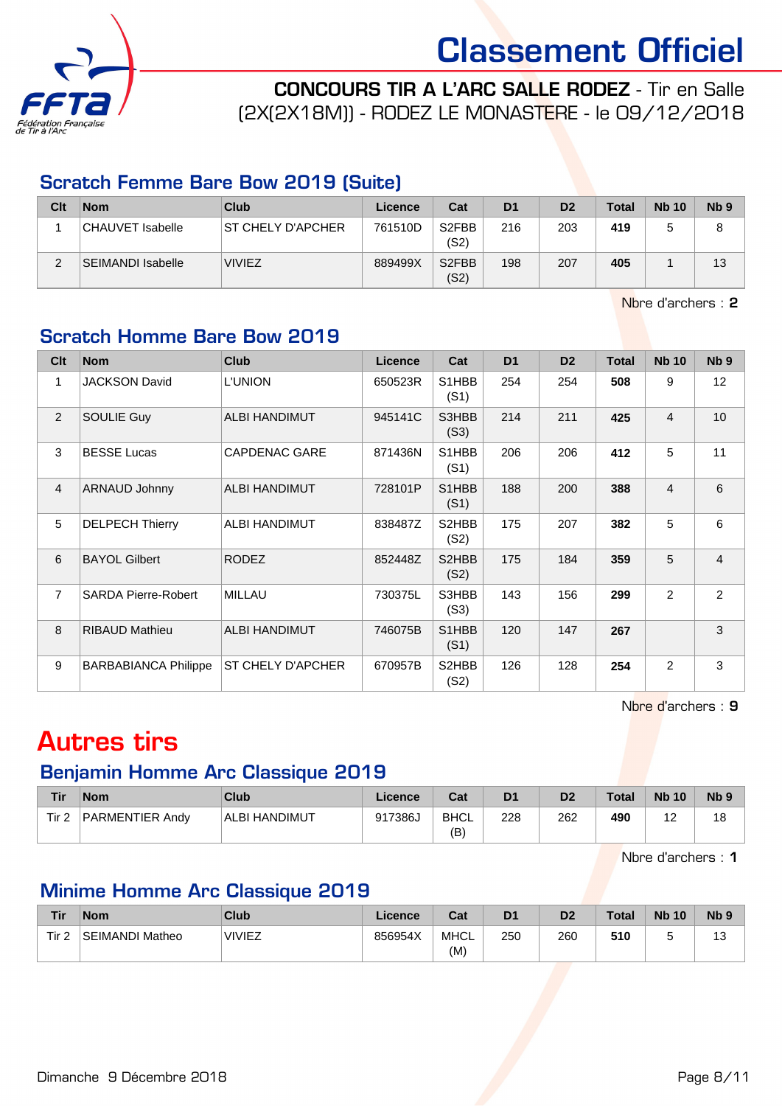

CONCOURS TIR A L'ARC SALLE RODEZ - Tir en Salle (2X(2X18M)) - RODEZ LE MONASTERE - le 09/12/2018

#### Scratch Femme Bare Bow 2019 (Suite)

| Clt | <b>Nom</b>        | Club               | Licence | Cat                        | D <sub>1</sub> | D <sub>2</sub> | <b>Total</b> | <b>Nb 10</b> | Nb <sub>9</sub> |
|-----|-------------------|--------------------|---------|----------------------------|----------------|----------------|--------------|--------------|-----------------|
|     | CHAUVET Isabelle  | IST CHELY D'APCHER | 761510D | S <sub>2</sub> FBB<br>(S2) | 216            | 203            | 419          |              |                 |
| ⌒   | SEIMANDI Isabelle | <b>VIVIEZ</b>      | 889499X | S <sub>2</sub> FBB<br>(S2) | 198            | 207            | 405          |              | 13              |

Nbre d'archers : 2

### Scratch Homme Bare Bow 2019

| Clt            | <b>Nom</b>                  | <b>Club</b>          | Licence | Cat           | D <sub>1</sub> | D <sub>2</sub> | <b>Total</b> | <b>Nb 10</b>   | Nb <sub>9</sub> |
|----------------|-----------------------------|----------------------|---------|---------------|----------------|----------------|--------------|----------------|-----------------|
| 1              | <b>JACKSON David</b>        | <b>L'UNION</b>       | 650523R | S1HBB<br>(S1) | 254            | 254            | 508          | 9              | 12              |
| 2              | <b>SOULIE Guy</b>           | <b>ALBI HANDIMUT</b> | 945141C | S3HBB<br>(S3) | 214            | 211            | 425          | 4              | 10 <sup>1</sup> |
| 3              | <b>BESSE Lucas</b>          | <b>CAPDENAC GARE</b> | 871436N | S1HBB<br>(S1) | 206            | 206            | 412          | 5              | 11              |
| $\overline{4}$ | ARNAUD Johnny               | <b>ALBI HANDIMUT</b> | 728101P | S1HBB<br>(S1) | 188            | 200            | 388          | $\overline{4}$ | 6               |
| 5              | <b>DELPECH Thierry</b>      | ALBI HANDIMUT        | 838487Z | S2HBB<br>(S2) | 175            | 207            | 382          | 5              | 6               |
| 6              | <b>BAYOL Gilbert</b>        | <b>RODEZ</b>         | 852448Z | S2HBB<br>(S2) | 175            | 184            | 359          | 5              | $\overline{4}$  |
| $\overline{7}$ | <b>SARDA Pierre-Robert</b>  | <b>MILLAU</b>        | 730375L | S3HBB<br>(S3) | 143            | 156            | 299          | $\overline{2}$ | $\overline{2}$  |
| 8              | <b>RIBAUD Mathieu</b>       | <b>ALBI HANDIMUT</b> | 746075B | S1HBB<br>(S1) | 120            | 147            | 267          |                | 3               |
| 9              | <b>BARBABIANCA Philippe</b> | ST CHELY D'APCHER    | 670957B | S2HBB<br>(S2) | 126            | 128            | 254          | $\overline{2}$ | 3               |

Nbre d'archers : 9

### Autres tirs

#### Benjamin Homme Arc Classique 2019

| Tir   | <b>Nom</b>      | Club          | Licence | Cat               | D1  | D <sub>2</sub> | <b>Total</b> | <b>Nb 10</b> | Nb <sub>9</sub> |
|-------|-----------------|---------------|---------|-------------------|-----|----------------|--------------|--------------|-----------------|
| Tir 2 | PARMENTIER Andv | ALBI HANDIMUT | 917386J | <b>BHCL</b><br>(B | 228 | 262            | 490          | ▵            | 18              |

Nbre d'archers : 1

### Minime Homme Arc Classique 2019

| Tir              | <b>Nom</b>             | Club          | Licence | Cat                | D <sub>1</sub> | D <sub>2</sub> | <b>Total</b> | <b>Nb 10</b> | N <sub>b</sub> <sub>9</sub> |
|------------------|------------------------|---------------|---------|--------------------|----------------|----------------|--------------|--------------|-----------------------------|
| Tir <sub>2</sub> | <b>SEIMANDI Matheo</b> | <b>VIVIEZ</b> | 856954X | <b>MHCL</b><br>(M) | 250            | 260            | 510          |              | $\sim$<br>ڻ ا               |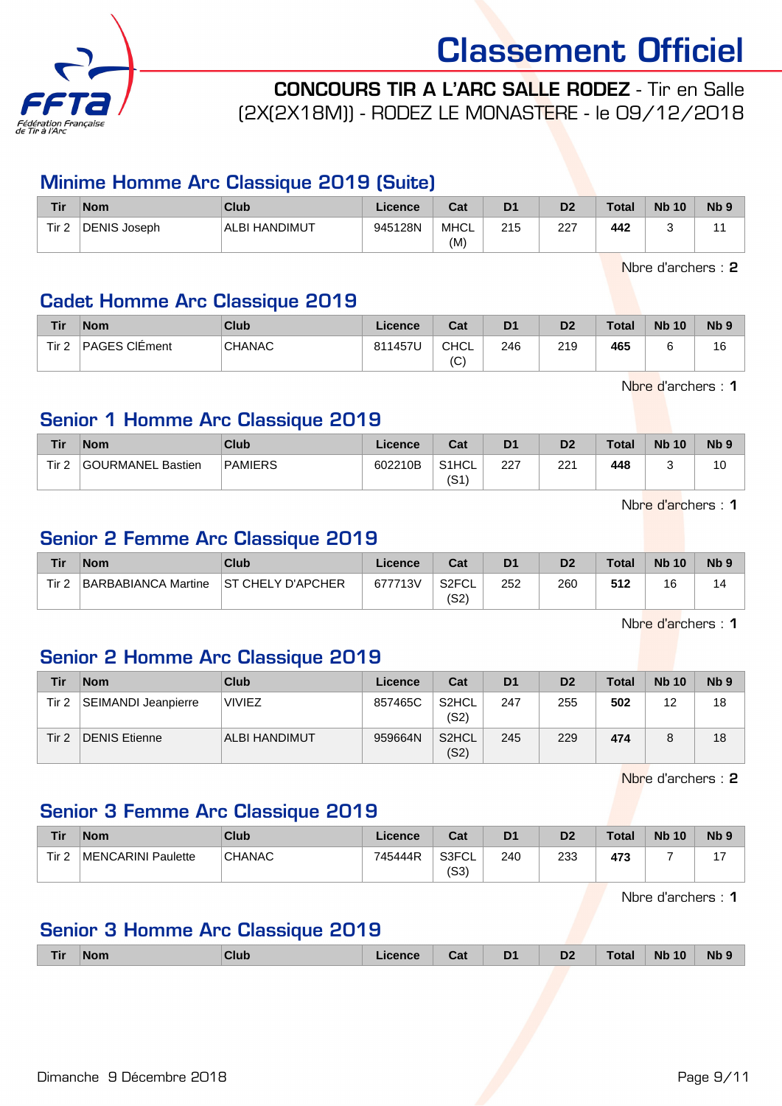

CONCOURS TIR A L'ARC SALLE RODEZ - Tir en Salle (2X(2X18M)) - RODEZ LE MONASTERE - le 09/12/2018

#### Minime Homme Arc Classique 2019 (Suite)

| <b>Tir</b> | <b>Nom</b>   | Club          | Licence | Cat         | D <sub>1</sub> | D <sub>2</sub> | <b>Total</b> | <b>Nb 10</b> | N <sub>b</sub> <sub>9</sub> |
|------------|--------------|---------------|---------|-------------|----------------|----------------|--------------|--------------|-----------------------------|
| Tir 2      | DENIS Joseph | ALBI HANDIMUT | 945128N | MHCL<br>(M) | 215            | 227            | 442          |              |                             |

Nbre d'archers : 2

#### Cadet Homme Arc Classique 2019

| Tir              | <b>Nom</b>    | Club          | Licence | Cat               | D <sub>1</sub> | D <sub>2</sub> | <b>Total</b> | <b>Nb 10</b> | N <sub>b</sub> <sub>9</sub> |
|------------------|---------------|---------------|---------|-------------------|----------------|----------------|--------------|--------------|-----------------------------|
| Tir <sub>2</sub> | PAGES CIÉment | <b>CHANAC</b> | 811457U | <b>CHCL</b><br>(C | 246            | 219            | 465          |              | 16                          |

Nbre d'archers : 1

#### Senior 1 Homme Arc Classique 2019

| Tir              | <b>Nom</b>        | Club           | Licence | Cat                       | D <sub>1</sub> | D2  | <b>Total</b> | <b>Nb 10</b> | N <sub>b</sub> <sub>9</sub> |
|------------------|-------------------|----------------|---------|---------------------------|----------------|-----|--------------|--------------|-----------------------------|
| Tir <sub>2</sub> | GOURMANEL Bastien | <b>PAMIERS</b> | 602210B | S <sub>1</sub> HCL<br>(S1 | 227            | 221 | 448          | ີ            | 10                          |

Nbre d'archers : 1

#### Senior 2 Femme Arc Classique 2019

| Tir              | <b>Nom</b>          | Club               | Licence | Cat           | D <sub>1</sub> | D <sub>2</sub> | <b>Total</b> | <b>Nb 10</b> | N <sub>b</sub> <sub>9</sub> |
|------------------|---------------------|--------------------|---------|---------------|----------------|----------------|--------------|--------------|-----------------------------|
| Tir <sub>2</sub> | BARBABIANCA Martine | IST CHELY D'APCHER | 677713V | S2FCL<br>(S2) | 252            | 260            | 512          | 16           | 14                          |

Nbre d'archers : 1

### Senior 2 Homme Arc Classique 2019

| Tir   | <b>Nom</b>          | <b>Club</b>   | Licence | Cat                        | D <sub>1</sub> | D <sub>2</sub> | <b>Total</b> | <b>Nb 10</b>   | Nb <sub>9</sub> |
|-------|---------------------|---------------|---------|----------------------------|----------------|----------------|--------------|----------------|-----------------|
| Tir 2 | SEIMANDI Jeanpierre | <b>VIVIEZ</b> | 857465C | S <sub>2</sub> HCL<br>(S2) | 247            | 255            | 502          | 12<br><u>_</u> | 18              |
| Tir 2 | DENIS Etienne       | ALBI HANDIMUT | 959664N | S <sub>2</sub> HCL<br>(S2) | 245            | 229            | 474          |                | 18              |

Nbre d'archers : 2

#### Senior 3 Femme Arc Classique 2019

| Tir   | <b>Nom</b>         | Club          | Licence | Cat                        | D <sub>1</sub> | D <sub>2</sub> | <b>Total</b> | <b>Nb 10</b> | N <sub>b</sub> <sub>9</sub> |
|-------|--------------------|---------------|---------|----------------------------|----------------|----------------|--------------|--------------|-----------------------------|
| Tir 2 | MENCARINI Paulette | <b>CHANAC</b> | 745444R | S3FCL <sup>*</sup><br>(S3) | 240            | 233            | 473          |              |                             |

Nbre d'archers : 1

#### Senior 3 Homme Arc Classique 2019

| Tir | <b>Nom</b> | Club | .icence | Cat | D <sub>1</sub><br>- - | D <sub>2</sub> | <b>Total</b> | <b>N<sub>b</sub></b><br>10 | Nb 9 |
|-----|------------|------|---------|-----|-----------------------|----------------|--------------|----------------------------|------|
|-----|------------|------|---------|-----|-----------------------|----------------|--------------|----------------------------|------|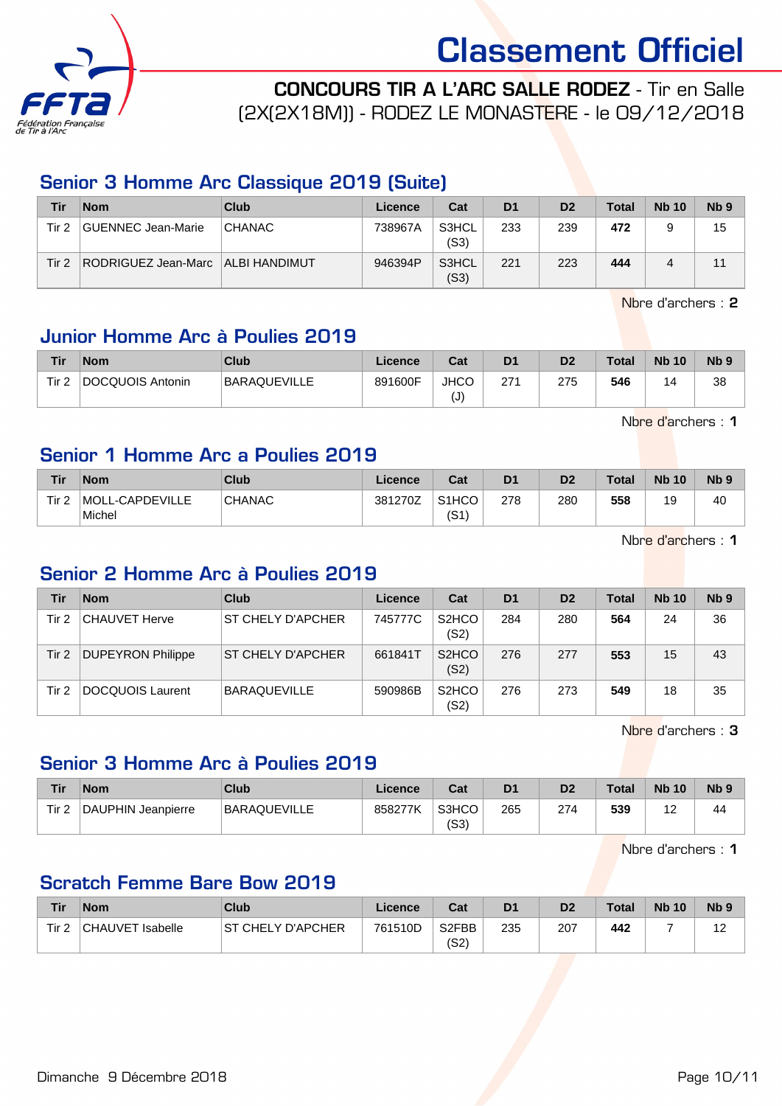

CONCOURS TIR A L'ARC SALLE RODEZ - Tir en Salle

(2X(2X18M)) - RODEZ LE MONASTERE - le 09/12/2018

#### Senior 3 Homme Arc Classique 2019 (Suite)

| Tir      | <b>Nom</b>                          | Club          | Licence | Cat           | D <sub>1</sub> | D <sub>2</sub> | <b>Total</b> | <b>Nb 10</b> | Nb <sub>9</sub> |
|----------|-------------------------------------|---------------|---------|---------------|----------------|----------------|--------------|--------------|-----------------|
| Tir 2    | GUENNEC Jean-Marie                  | <b>CHANAC</b> | 738967A | S3HCL<br>(S3) | 233            | 239            | 472          |              | 15              |
| Tir $21$ | RODRIGUEZ Jean-Marc   ALBI HANDIMUT |               | 946394P | S3HCL<br>(S3) | 221            | 223            | 444          |              |                 |

Nbre d'archers : 2

#### Junior Homme Arc à Poulies 2019

| Tir              | <b>Nom</b>       | Club         | Licence | Cat              | D <sub>1</sub> | D <sub>2</sub> | <b>Total</b> | <b>Nb 10</b> | Nb ? |
|------------------|------------------|--------------|---------|------------------|----------------|----------------|--------------|--------------|------|
| Tir <sub>2</sub> | DOCQUOIS Antonin | BARAQUEVILLE | 891600F | <b>JHCC</b><br>U | 271            | 275            | 546          | 4            | 38   |

Nbre d'archers : 1

#### Senior 1 Homme Arc a Poulies 2019

| Tir              | <b>Nom</b>                | Club          | Licence | Cat                        | D1  | D2  | <b>Total</b> | <b>Nb 10</b> | <b>N<sub>b</sub></b> |
|------------------|---------------------------|---------------|---------|----------------------------|-----|-----|--------------|--------------|----------------------|
| Tir <sub>2</sub> | MOLL-CAPDEVILLE<br>Michel | <b>CHANAC</b> | 381270Z | S <sub>1</sub> HCO<br>(S1) | 278 | 280 | 558          | 19           | 40                   |

Nbre d'archers : 1

#### Senior 2 Homme Arc à Poulies 2019

| Tir   | <b>Nom</b>               | Club                | Licence | Cat                        | D <sub>1</sub> | D <sub>2</sub> | Total | <b>Nb 10</b> | N <sub>b</sub> 9 |
|-------|--------------------------|---------------------|---------|----------------------------|----------------|----------------|-------|--------------|------------------|
| Tir 2 | <b>CHAUVET Herve</b>     | ST CHELY D'APCHER   | 745777C | S <sub>2</sub> HCO<br>(S2) | 284            | 280            | 564   | 24           | 36               |
| Tir 2 | <b>DUPEYRON Philippe</b> | ST CHELY D'APCHER   | 661841T | S <sub>2</sub> HCO<br>(S2) | 276            | 277            | 553   | 15           | 43               |
| Tir 2 | <b>DOCQUOIS Laurent</b>  | <b>BARAQUEVILLE</b> | 590986B | S <sub>2</sub> HCO<br>(S2) | 276            | 273            | 549   | 18           | 35               |

Nbre d'archers : 3

#### Senior 3 Homme Arc à Poulies 2019

| Tir              | <b>Nom</b>         | Club         | Licence | Cat           | D1  | D <sub>2</sub> | <b>Total</b> | <b>Nb 10</b> | N <sub>b</sub> <sub>9</sub> |
|------------------|--------------------|--------------|---------|---------------|-----|----------------|--------------|--------------|-----------------------------|
| Tir <sub>2</sub> | DAUPHIN Jeanpierre | BARAQUEVILLE | 858277K | S3HCO<br>(S3) | 265 | 274            | 539          | -            | 44                          |

Nbre d'archers : 1

#### Scratch Femme Bare Bow 2019

| <b>Tir</b>       | <b>Nom</b>       | Club               | Licence | Cat                        | D <sub>1</sub> | D2  | <b>Total</b> | <b>Nb 10</b> | N <sub>b</sub> <sub>9</sub> |
|------------------|------------------|--------------------|---------|----------------------------|----------------|-----|--------------|--------------|-----------------------------|
| Tir <sub>2</sub> | CHAUVET Isabelle | IST CHELY D'APCHER | 761510D | S <sub>2</sub> FBB<br>(S2) | 235            | 207 | 442          |              | -12<br>. <u>.</u>           |